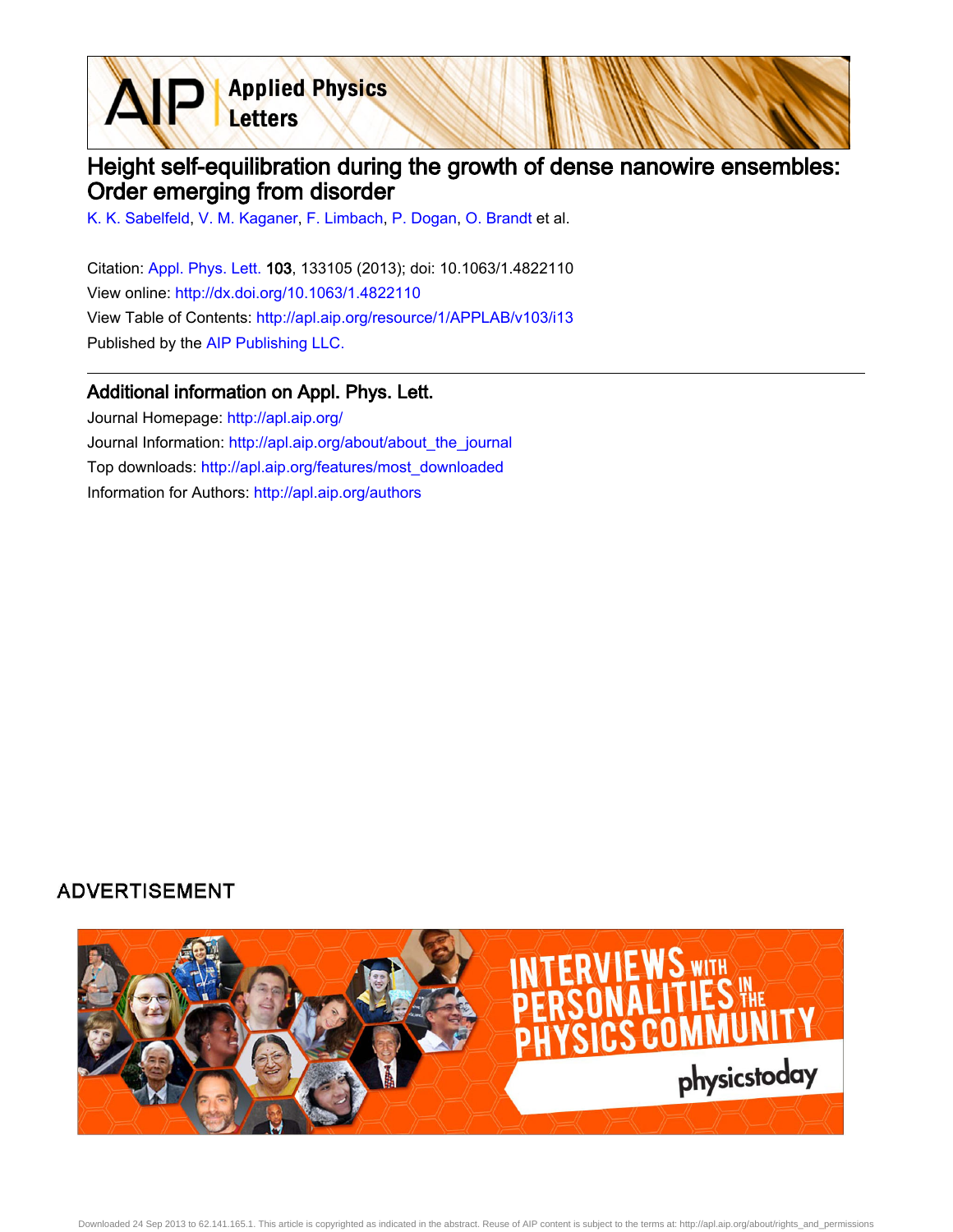**Applied Physics** Letters

## Height self-equilibration during the growth of dense nanowire ensembles: Order emerging from disorder

[K. K. Sabelfeld](http://apl.aip.org/search?sortby=newestdate&q=&searchzone=2&searchtype=searchin&faceted=faceted&key=AIP_ALL&possible1=K. K. Sabelfeld&possible1zone=author&alias=&displayid=AIP&ver=pdfcov), [V. M. Kaganer](http://apl.aip.org/search?sortby=newestdate&q=&searchzone=2&searchtype=searchin&faceted=faceted&key=AIP_ALL&possible1=V. M. Kaganer&possible1zone=author&alias=&displayid=AIP&ver=pdfcov), [F. Limbach](http://apl.aip.org/search?sortby=newestdate&q=&searchzone=2&searchtype=searchin&faceted=faceted&key=AIP_ALL&possible1=F. Limbach&possible1zone=author&alias=&displayid=AIP&ver=pdfcov), [P. Dogan,](http://apl.aip.org/search?sortby=newestdate&q=&searchzone=2&searchtype=searchin&faceted=faceted&key=AIP_ALL&possible1=P. Dogan&possible1zone=author&alias=&displayid=AIP&ver=pdfcov) [O. Brandt](http://apl.aip.org/search?sortby=newestdate&q=&searchzone=2&searchtype=searchin&faceted=faceted&key=AIP_ALL&possible1=O. Brandt&possible1zone=author&alias=&displayid=AIP&ver=pdfcov) et al.

Citation: [Appl. Phys. Lett. 1](http://apl.aip.org/?ver=pdfcov)03, 133105 (2013); doi: 10.1063/1.4822110 View online: [http://dx.doi.org/10.1063/1.4822110](http://link.aip.org/link/doi/10.1063/1.4822110?ver=pdfcov) View Table of Contents: [http://apl.aip.org/resource/1/APPLAB/v103/i13](http://apl.aip.org/resource/1/APPLAB/v103/i13?ver=pdfcov) Published by the [AIP Publishing LLC.](http://www.aip.org/?ver=pdfcov)

## Additional information on Appl. Phys. Lett.

Journal Homepage: [http://apl.aip.org/](http://apl.aip.org/?ver=pdfcov) Journal Information: [http://apl.aip.org/about/about\\_the\\_journal](http://apl.aip.org/about/about_the_journal?ver=pdfcov) Top downloads: [http://apl.aip.org/features/most\\_downloaded](http://apl.aip.org/features/most_downloaded?ver=pdfcov) Information for Authors: [http://apl.aip.org/authors](http://apl.aip.org/authors?ver=pdfcov)

## **ADVERTISEMENT**



Downloaded 24 Sep 2013 to 62.141.165.1. This article is copyrighted as indicated in the abstract. Reuse of AIP content is subject to the terms at: http://apl.aip.org/about/rights\_and\_permissions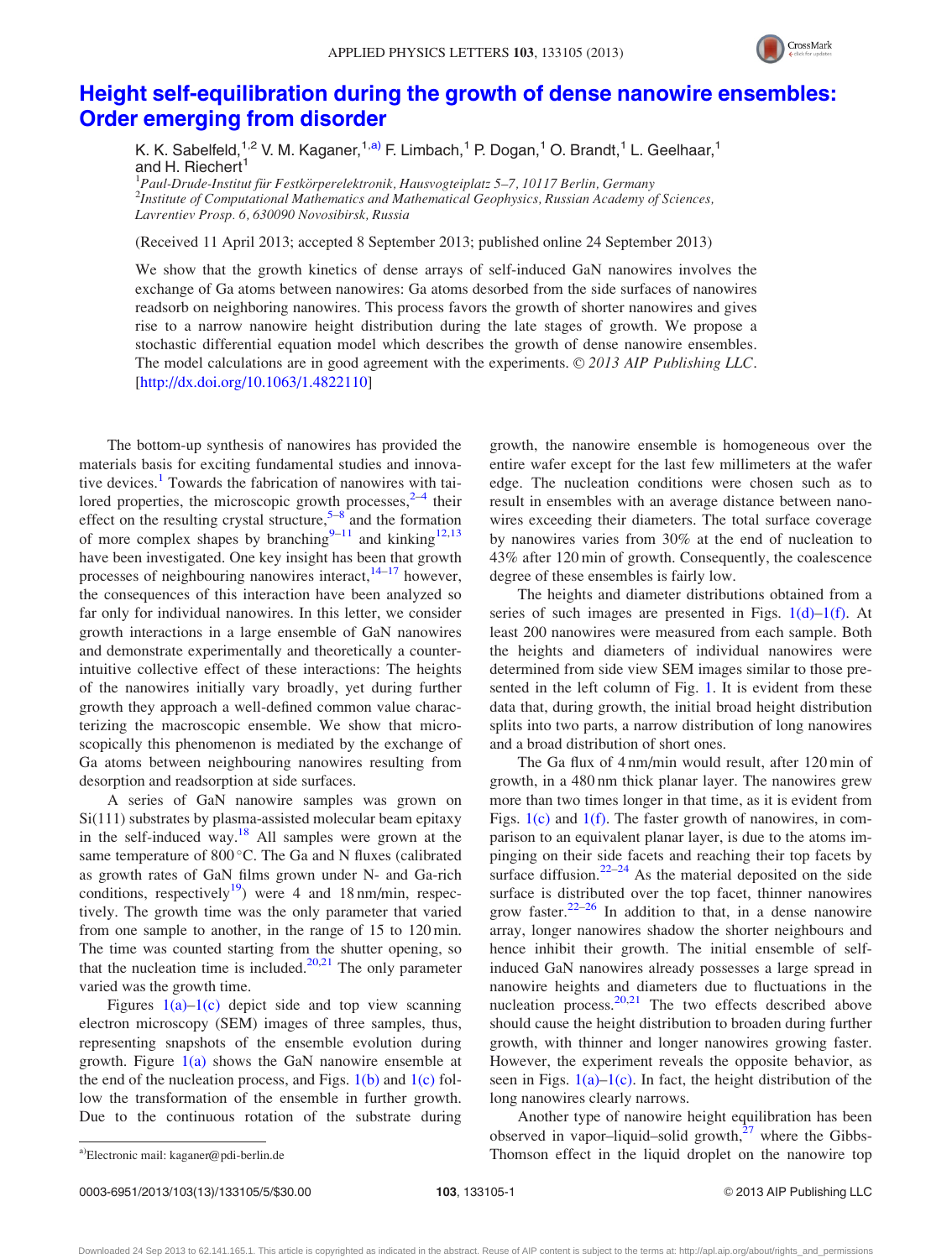

## [Height self-equilibration during the growth of dense nanowire ensembles:](http://dx.doi.org/10.1063/1.4822110) [Order emerging from disorder](http://dx.doi.org/10.1063/1.4822110)

K. K. Sabelfeld,<sup>1,2</sup> V. M. Kaganer,<sup>1,a)</sup> F. Limbach,<sup>1</sup> P. Dogan,<sup>1</sup> O. Brandt,<sup>1</sup> L. Geelhaar,<sup>1</sup> and H. Riechert<sup>1</sup>

<sup>1</sup> Paul-Drude-Institut für Festkörperelektronik, Hausvogteiplatz 5–7, 10117 Berlin, Germany<br><sup>2</sup>Institute of Computational Mathematics and Mathematical Geophysics, Pussian Academy o  $^{2}$ Institute of Computational Mathematics and Mathematical Geophysics, Russian Academy of Sciences, Lavrentiev Prosp. 6, 630090 Novosibirsk, Russia

(Received 11 April 2013; accepted 8 September 2013; published online 24 September 2013)

We show that the growth kinetics of dense arrays of self-induced GaN nanowires involves the exchange of Ga atoms between nanowires: Ga atoms desorbed from the side surfaces of nanowires readsorb on neighboring nanowires. This process favors the growth of shorter nanowires and gives rise to a narrow nanowire height distribution during the late stages of growth. We propose a stochastic differential equation model which describes the growth of dense nanowire ensembles. The model calculations are in good agreement with the experiments.  $\odot$  2013 AIP Publishing LLC. [\[http://dx.doi.org/10.1063/1.4822110](http://dx.doi.org/10.1063/1.4822110)]

The bottom-up synthesis of nanowires has provided the materials basis for exciting fundamental studies and innova-tive devices.<sup>[1](#page-4-0)</sup> Towards the fabrication of nanowires with tailored properties, the microscopic growth processes, $2-4$  their effect on the resulting crystal structure,  $5-8$  $5-8$  $5-8$  and the formation of more complex shapes by branching<sup>[9–11](#page-4-0)</sup> and kinking<sup>[12,13](#page-4-0)</sup> have been investigated. One key insight has been that growth processes of neighbouring nanowires interact, $14-17$  however, the consequences of this interaction have been analyzed so far only for individual nanowires. In this letter, we consider growth interactions in a large ensemble of GaN nanowires and demonstrate experimentally and theoretically a counterintuitive collective effect of these interactions: The heights of the nanowires initially vary broadly, yet during further growth they approach a well-defined common value characterizing the macroscopic ensemble. We show that microscopically this phenomenon is mediated by the exchange of Ga atoms between neighbouring nanowires resulting from desorption and readsorption at side surfaces.

A series of GaN nanowire samples was grown on Si(111) substrates by plasma-assisted molecular beam epitaxy in the self-induced way. $18$  All samples were grown at the same temperature of 800 °C. The Ga and N fluxes (calibrated as growth rates of GaN films grown under N- and Ga-rich conditions, respectively<sup>[19](#page-4-0)</sup>) were 4 and 18 nm/min, respectively. The growth time was the only parameter that varied from one sample to another, in the range of 15 to 120 min. The time was counted starting from the shutter opening, so that the nucleation time is included. $20,21$  The only parameter varied was the growth time.

Figures  $1(a)-1(c)$  depict side and top view scanning electron microscopy (SEM) images of three samples, thus, representing snapshots of the ensemble evolution during growth. Figure  $1(a)$  shows the GaN nanowire ensemble at the end of the nucleation process, and Figs.  $1(b)$  and  $1(c)$  follow the transformation of the ensemble in further growth. Due to the continuous rotation of the substrate during growth, the nanowire ensemble is homogeneous over the entire wafer except for the last few millimeters at the wafer edge. The nucleation conditions were chosen such as to result in ensembles with an average distance between nanowires exceeding their diameters. The total surface coverage by nanowires varies from 30% at the end of nucleation to 43% after 120 min of growth. Consequently, the coalescence degree of these ensembles is fairly low.

The heights and diameter distributions obtained from a series of such images are presented in Figs.  $1(d)-1(f)$ . At least 200 nanowires were measured from each sample. Both the heights and diameters of individual nanowires were determined from side view SEM images similar to those presented in the left column of Fig. [1](#page-2-0). It is evident from these data that, during growth, the initial broad height distribution splits into two parts, a narrow distribution of long nanowires and a broad distribution of short ones.

The Ga flux of 4 nm/min would result, after 120 min of growth, in a 480 nm thick planar layer. The nanowires grew more than two times longer in that time, as it is evident from Figs. [1\(c\)](#page-2-0) and [1\(f\).](#page-2-0) The faster growth of nanowires, in comparison to an equivalent planar layer, is due to the atoms impinging on their side facets and reaching their top facets by surface diffusion. $22-24$  As the material deposited on the side surface is distributed over the top facet, thinner nanowires grow faster. $22-26$  In addition to that, in a dense nanowire array, longer nanowires shadow the shorter neighbours and hence inhibit their growth. The initial ensemble of selfinduced GaN nanowires already possesses a large spread in nanowire heights and diameters due to fluctuations in the nucleation process. $20,21$  The two effects described above should cause the height distribution to broaden during further growth, with thinner and longer nanowires growing faster. However, the experiment reveals the opposite behavior, as seen in Figs.  $1(a)$ –1(c). In fact, the height distribution of the long nanowires clearly narrows.

Another type of nanowire height equilibration has been observed in vapor–liquid–solid growth, $27$  where the Gibbsa)Electronic mail: [kaganer@pdi-berlin.de](mailto:kaganer@pdi-berlin.de) Thomson effect in the liquid droplet on the nanowire top

Downloaded 24 Sep 2013 to 62.141.165.1. This article is copyrighted as indicated in the abstract. Reuse of AIP content is subject to the terms at: http://apl.aip.org/about/rights\_and\_permissions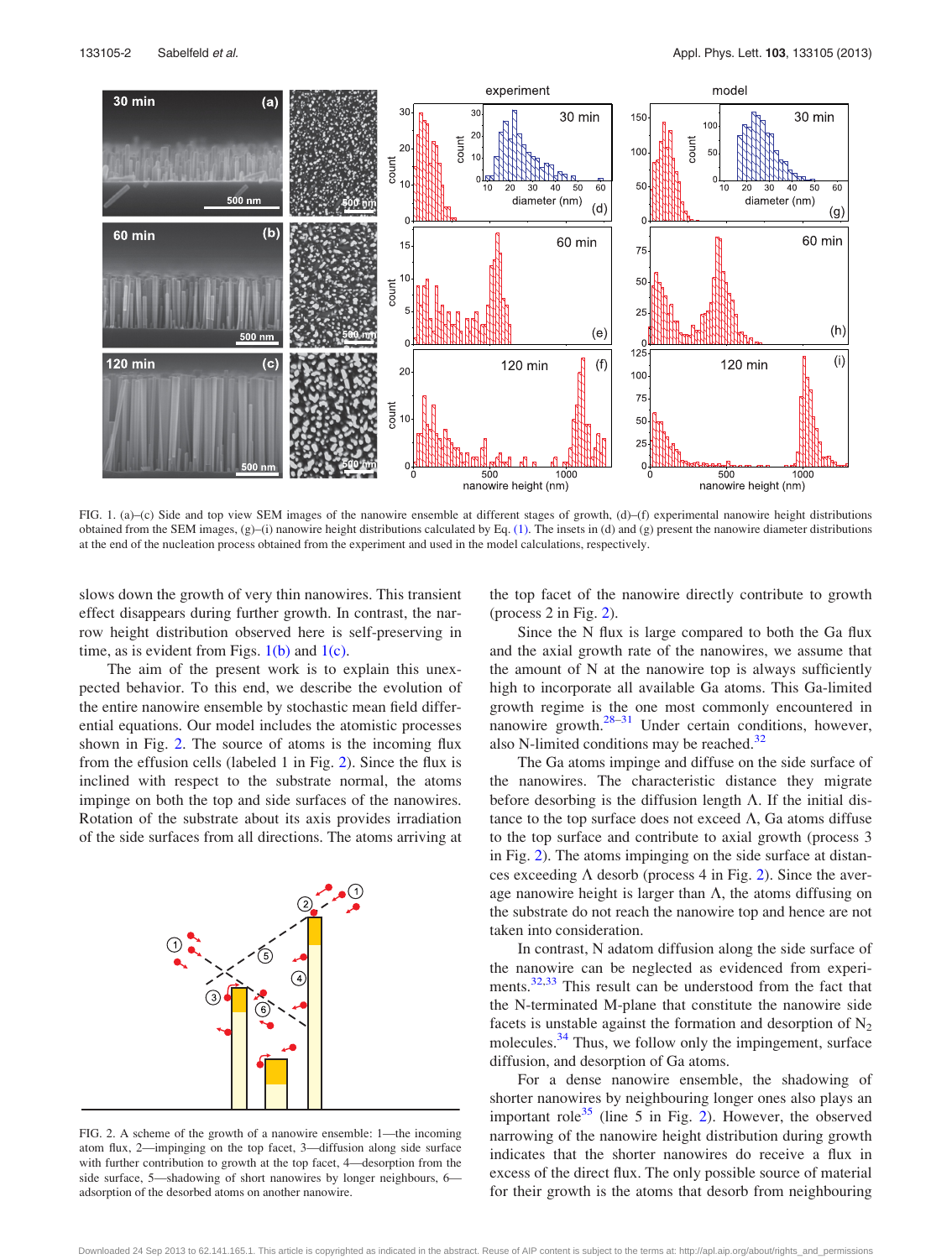<span id="page-2-0"></span>

FIG. 1. (a)–(c) Side and top view SEM images of the nanowire ensemble at different stages of growth, (d)–(f) experimental nanowire height distributions obtained from the SEM images,  $(g)$ –(i) nanowire height distributions calculated by Eq. [\(1\).](#page-3-0) The insets in (d) and (g) present the nanowire diameter distributions at the end of the nucleation process obtained from the experiment and used in the model calculations, respectively.

slows down the growth of very thin nanowires. This transient effect disappears during further growth. In contrast, the narrow height distribution observed here is self-preserving in time, as is evident from Figs.  $1(b)$  and  $1(c)$ .

The aim of the present work is to explain this unexpected behavior. To this end, we describe the evolution of the entire nanowire ensemble by stochastic mean field differential equations. Our model includes the atomistic processes shown in Fig. 2. The source of atoms is the incoming flux from the effusion cells (labeled 1 in Fig. 2). Since the flux is inclined with respect to the substrate normal, the atoms impinge on both the top and side surfaces of the nanowires. Rotation of the substrate about its axis provides irradiation of the side surfaces from all directions. The atoms arriving at



FIG. 2. A scheme of the growth of a nanowire ensemble: 1—the incoming atom flux, 2—impinging on the top facet, 3—diffusion along side surface with further contribution to growth at the top facet, 4—desorption from the side surface, 5—shadowing of short nanowires by longer neighbours, 6 adsorption of the desorbed atoms on another nanowire.

the top facet of the nanowire directly contribute to growth (process 2 in Fig. 2).

Since the N flux is large compared to both the Ga flux and the axial growth rate of the nanowires, we assume that the amount of N at the nanowire top is always sufficiently high to incorporate all available Ga atoms. This Ga-limited growth regime is the one most commonly encountered in nanowire growth.[28–](#page-4-0)[31](#page-5-0) Under certain conditions, however, also N-limited conditions may be reached. $32$ 

The Ga atoms impinge and diffuse on the side surface of the nanowires. The characteristic distance they migrate before desorbing is the diffusion length  $\Lambda$ . If the initial distance to the top surface does not exceed  $\Lambda$ , Ga atoms diffuse to the top surface and contribute to axial growth (process 3 in Fig. 2). The atoms impinging on the side surface at distances exceeding  $\Lambda$  desorb (process 4 in Fig. 2). Since the average nanowire height is larger than  $\Lambda$ , the atoms diffusing on the substrate do not reach the nanowire top and hence are not taken into consideration.

In contrast, N adatom diffusion along the side surface of the nanowire can be neglected as evidenced from experi-ments.<sup>[32](#page-5-0),[33](#page-5-0)</sup> This result can be understood from the fact that the N-terminated M-plane that constitute the nanowire side facets is unstable against the formation and desorption of  $N_2$ molecules.<sup>34</sup> Thus, we follow only the impingement, surface diffusion, and desorption of Ga atoms.

For a dense nanowire ensemble, the shadowing of shorter nanowires by neighbouring longer ones also plays an important role<sup>[35](#page-5-0)</sup> (line 5 in Fig. 2). However, the observed narrowing of the nanowire height distribution during growth indicates that the shorter nanowires do receive a flux in excess of the direct flux. The only possible source of material for their growth is the atoms that desorb from neighbouring

Downloaded 24 Sep 2013 to 62.141.165.1. This article is copyrighted as indicated in the abstract. Reuse of AIP content is subject to the terms at: http://apl.aip.org/about/rights\_and\_permissions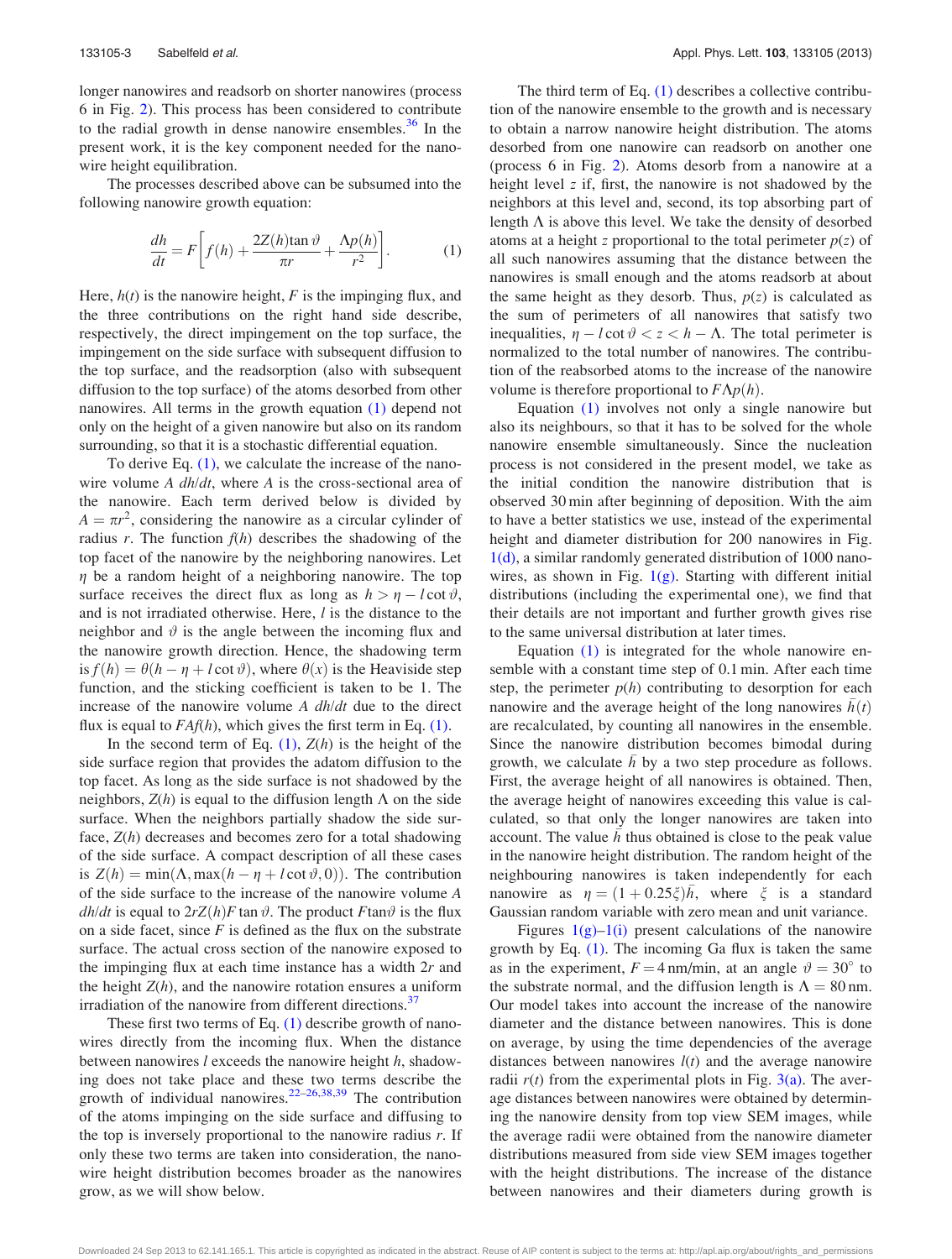<span id="page-3-0"></span>longer nanowires and readsorb on shorter nanowires (process 6 in Fig. [2\)](#page-2-0). This process has been considered to contribute to the radial growth in dense nanowire ensembles. $36$  In the present work, it is the key component needed for the nanowire height equilibration.

The processes described above can be subsumed into the following nanowire growth equation:

$$
\frac{dh}{dt} = F\left[f(h) + \frac{2Z(h)\tan\vartheta}{\pi r} + \frac{\Lambda p(h)}{r^2}\right].
$$
 (1)

Here,  $h(t)$  is the nanowire height, F is the impinging flux, and the three contributions on the right hand side describe, respectively, the direct impingement on the top surface, the impingement on the side surface with subsequent diffusion to the top surface, and the readsorption (also with subsequent diffusion to the top surface) of the atoms desorbed from other nanowires. All terms in the growth equation (1) depend not only on the height of a given nanowire but also on its random surrounding, so that it is a stochastic differential equation.

To derive Eq. (1), we calculate the increase of the nanowire volume  $A$  dh/dt, where  $A$  is the cross-sectional area of the nanowire. Each term derived below is divided by  $A = \pi r^2$ , considering the nanowire as a circular cylinder of radius r. The function  $f(h)$  describes the shadowing of the top facet of the nanowire by the neighboring nanowires. Let  $\eta$  be a random height of a neighboring nanowire. The top surface receives the direct flux as long as  $h > \eta - l \cot \vartheta$ , and is not irradiated otherwise. Here, *l* is the distance to the neighbor and  $\vartheta$  is the angle between the incoming flux and the nanowire growth direction. Hence, the shadowing term is  $f(h) = \theta(h - \eta + l \cot \vartheta)$ , where  $\theta(x)$  is the Heaviside step function, and the sticking coefficient is taken to be 1. The increase of the nanowire volume A dh/dt due to the direct flux is equal to  $FAf(h)$ , which gives the first term in Eq. (1).

In the second term of Eq.  $(1)$ ,  $Z(h)$  is the height of the side surface region that provides the adatom diffusion to the top facet. As long as the side surface is not shadowed by the neighbors,  $Z(h)$  is equal to the diffusion length  $\Lambda$  on the side surface. When the neighbors partially shadow the side surface,  $Z(h)$  decreases and becomes zero for a total shadowing of the side surface. A compact description of all these cases is  $Z(h) = min(\Lambda, max(h - \eta + l \cot \vartheta, 0))$ . The contribution of the side surface to the increase of the nanowire volume A *dh/dt* is equal to  $2rZ(h)F$  tan  $\vartheta$ . The product Ftan $\vartheta$  is the flux on a side facet, since  $F$  is defined as the flux on the substrate surface. The actual cross section of the nanowire exposed to the impinging flux at each time instance has a width  $2r$  and the height  $Z(h)$ , and the nanowire rotation ensures a uniform irradiation of the nanowire from different directions.<sup>[37](#page-5-0)</sup>

These first two terms of Eq.  $(1)$  describe growth of nanowires directly from the incoming flux. When the distance between nanowires  $l$  exceeds the nanowire height  $h$ , shadowing does not take place and these two terms describe the growth of individual nanowires. $22-26,38,39$  $22-26,38,39$  $22-26,38,39$  $22-26,38,39$  The contribution of the atoms impinging on the side surface and diffusing to the top is inversely proportional to the nanowire radius  $r$ . If only these two terms are taken into consideration, the nanowire height distribution becomes broader as the nanowires grow, as we will show below.

The third term of Eq.  $(1)$  describes a collective contribution of the nanowire ensemble to the growth and is necessary to obtain a narrow nanowire height distribution. The atoms desorbed from one nanowire can readsorb on another one (process 6 in Fig. [2](#page-2-0)). Atoms desorb from a nanowire at a height level z if, first, the nanowire is not shadowed by the neighbors at this level and, second, its top absorbing part of length  $\Lambda$  is above this level. We take the density of desorbed atoms at a height z proportional to the total perimeter  $p(z)$  of all such nanowires assuming that the distance between the nanowires is small enough and the atoms readsorb at about the same height as they desorb. Thus,  $p(z)$  is calculated as the sum of perimeters of all nanowires that satisfy two inequalities,  $\eta - l \cot \vartheta < z < h - \Lambda$ . The total perimeter is normalized to the total number of nanowires. The contribution of the reabsorbed atoms to the increase of the nanowire volume is therefore proportional to  $F\Lambda p(h)$ .

Equation (1) involves not only a single nanowire but also its neighbours, so that it has to be solved for the whole nanowire ensemble simultaneously. Since the nucleation process is not considered in the present model, we take as the initial condition the nanowire distribution that is observed 30 min after beginning of deposition. With the aim to have a better statistics we use, instead of the experimental height and diameter distribution for 200 nanowires in Fig. [1\(d\),](#page-2-0) a similar randomly generated distribution of 1000 nanowires, as shown in Fig. [1\(g\)](#page-2-0). Starting with different initial distributions (including the experimental one), we find that their details are not important and further growth gives rise to the same universal distribution at later times.

Equation (1) is integrated for the whole nanowire ensemble with a constant time step of 0.1 min. After each time step, the perimeter  $p(h)$  contributing to desorption for each nanowire and the average height of the long nanowires  $\bar{h}(t)$ are recalculated, by counting all nanowires in the ensemble. Since the nanowire distribution becomes bimodal during growth, we calculate  $\bar{h}$  by a two step procedure as follows. First, the average height of all nanowires is obtained. Then, the average height of nanowires exceeding this value is calculated, so that only the longer nanowires are taken into account. The value  $\overline{h}$  thus obtained is close to the peak value in the nanowire height distribution. The random height of the neighbouring nanowires is taken independently for each nanowire as  $\eta = (1 + 0.25\xi)\overline{h}$ , where  $\xi$  is a standard Gaussian random variable with zero mean and unit variance.

Figures  $1(g)-1(i)$  present calculations of the nanowire growth by Eq. (1). The incoming Ga flux is taken the same as in the experiment,  $F = 4$  nm/min, at an angle  $\vartheta = 30^{\circ}$  to the substrate normal, and the diffusion length is  $\Lambda = 80$  nm. Our model takes into account the increase of the nanowire diameter and the distance between nanowires. This is done on average, by using the time dependencies of the average distances between nanowires  $l(t)$  and the average nanowire radii  $r(t)$  from the experimental plots in Fig. [3\(a\).](#page-4-0) The average distances between nanowires were obtained by determining the nanowire density from top view SEM images, while the average radii were obtained from the nanowire diameter distributions measured from side view SEM images together with the height distributions. The increase of the distance between nanowires and their diameters during growth is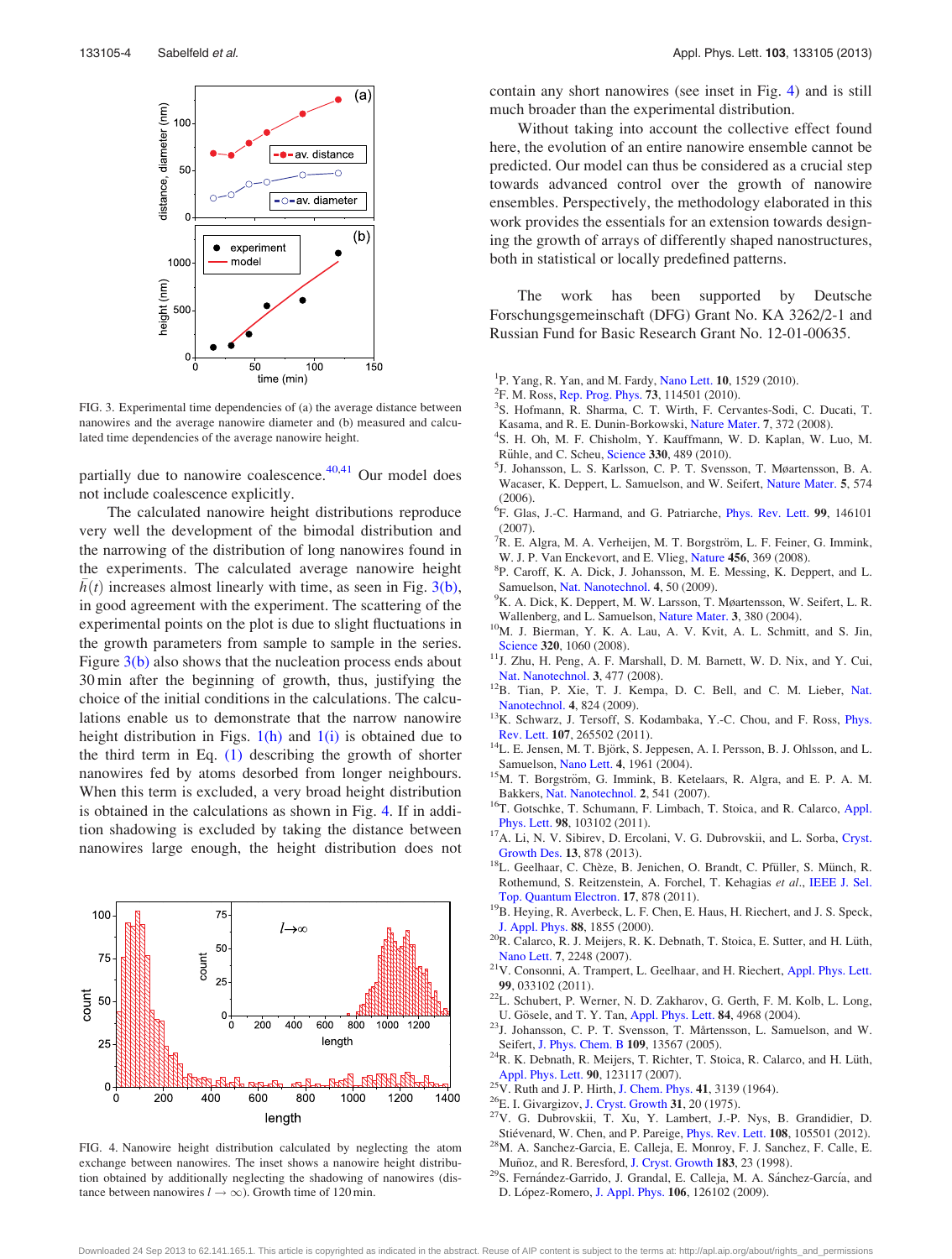<span id="page-4-0"></span>

FIG. 3. Experimental time dependencies of (a) the average distance between nanowires and the average nanowire diameter and (b) measured and calculated time dependencies of the average nanowire height.

partially due to nanowire coalescence. $40,41$  Our model does not include coalescence explicitly.

The calculated nanowire height distributions reproduce very well the development of the bimodal distribution and the narrowing of the distribution of long nanowires found in the experiments. The calculated average nanowire height  $\bar{h}(t)$  increases almost linearly with time, as seen in Fig. 3(b), in good agreement with the experiment. The scattering of the experimental points on the plot is due to slight fluctuations in the growth parameters from sample to sample in the series. Figure  $3(b)$  also shows that the nucleation process ends about 30 min after the beginning of growth, thus, justifying the choice of the initial conditions in the calculations. The calculations enable us to demonstrate that the narrow nanowire height distribution in Figs.  $1(h)$  and  $1(i)$  is obtained due to the third term in Eq. [\(1\)](#page-3-0) describing the growth of shorter nanowires fed by atoms desorbed from longer neighbours. When this term is excluded, a very broad height distribution is obtained in the calculations as shown in Fig. 4. If in addition shadowing is excluded by taking the distance between nanowires large enough, the height distribution does not



FIG. 4. Nanowire height distribution calculated by neglecting the atom exchange between nanowires. The inset shows a nanowire height distribution obtained by additionally neglecting the shadowing of nanowires (distance between nanowires  $l \rightarrow \infty$ ). Growth time of 120 min.

contain any short nanowires (see inset in Fig. 4) and is still much broader than the experimental distribution.

Without taking into account the collective effect found here, the evolution of an entire nanowire ensemble cannot be predicted. Our model can thus be considered as a crucial step towards advanced control over the growth of nanowire ensembles. Perspectively, the methodology elaborated in this work provides the essentials for an extension towards designing the growth of arrays of differently shaped nanostructures, both in statistical or locally predefined patterns.

The work has been supported by Deutsche Forschungsgemeinschaft (DFG) Grant No. KA 3262/2-1 and Russian Fund for Basic Research Grant No. 12-01-00635.

- <sup>1</sup>P. Yang, R. Yan, and M. Fardy, [Nano Lett.](http://dx.doi.org/10.1021/nl100665r) **10**, 1529 (2010).<br><sup>2</sup>E. M. Poss. Pap. Prog. Phys. **73**, 114501 (2010).
- <sup>2</sup>F. M. Ross, [Rep. Prog. Phys.](http://dx.doi.org/10.1088/0034-4885/73/11/114501) 73, 114501 (2010).
- S. Hofmann, R. Sharma, C. T. Wirth, F. Cervantes-Sodi, C. Ducati, T. Kasama, and R. E. Dunin-Borkowski, [Nature Mater.](http://dx.doi.org/10.1038/nmat2140) 7, 372 (2008).
- <sup>4</sup>S. H. Oh, M. F. Chisholm, Y. Kauffmann, W. D. Kaplan, W. Luo, M. Rühle, and C. Scheu, [Science](http://dx.doi.org/10.1126/science.1190596) 330, 489 (2010).
- <sup>5</sup>J. Johansson, L. S. Karlsson, C. P. T. Svensson, T. Møartensson, B. A. Wacaser, K. Deppert, L. Samuelson, and W. Seifert, [Nature Mater.](http://dx.doi.org/10.1038/nmat1677) 5, 574 (2006).
- <sup>6</sup>F. Glas, J.-C. Harmand, and G. Patriarche, *[Phys. Rev. Lett.](http://dx.doi.org/10.1103/PhysRevLett.99.146101)* 99, 146101 (2007).
- <sup>7</sup>R. E. Algra, M. A. Verheijen, M. T. Borgström, L. F. Feiner, G. Immink, W. J. P. Van Enckevort, and E. Vlieg, [Nature](http://dx.doi.org/10.1038/nature07570) 456, 369 (2008).
- P. Caroff, K. A. Dick, J. Johansson, M. E. Messing, K. Deppert, and L. Samuelson, [Nat. Nanotechnol.](http://dx.doi.org/10.1038/nnano.2008.359) 4, 50 (2009).
- <sup>9</sup>K. A. Dick, K. Deppert, M. W. Larsson, T. Møartensson, W. Seifert, L. R.
- Wallenberg, and L. Samuelson, [Nature Mater.](http://dx.doi.org/10.1038/nmat1133) 3, 380 (2004). <sup>10</sup>M. J. Bierman, Y. K. A. Lau, A. V. Kvit, A. L. Schmitt, and S. Jin,
- [Science](http://dx.doi.org/10.1126/science.1157131) <sup>320</sup>, 1060 (2008). 11J. Zhu, H. Peng, A. F. Marshall, D. M. Barnett, W. D. Nix, and Y. Cui,
- [Nat. Nanotechnol.](http://dx.doi.org/10.1038/nnano.2008.179) 3, 477 (2008). <sup>12</sup>B. Tian, P. Xie, T. J. Kempa, D. C. Bell, and C. M. Lieber, [Nat.](http://dx.doi.org/10.1038/nnano.2009.304)
- [Nanotechnol.](http://dx.doi.org/10.1038/nnano.2009.304) 4, 824 (2009). <sup>13</sup>K. Schwarz, J. Tersoff, S. Kodambaka, Y.-C. Chou, and F. Ross, *[Phys.](http://dx.doi.org/10.1103/PhysRevLett.107.265502)*
- [Rev. Lett.](http://dx.doi.org/10.1103/PhysRevLett.107.265502) 107, 265502 (2011). <sup>14</sup>L. E. Jensen, M. T. Björk, S. Jeppesen, A. I. Persson, B. J. Ohlsson, and L. Samuelson, Nano Lett. 4, 1961 (2004).
- <sup>15</sup>M. T. Borgström, G. Immink, B. Ketelaars, R. Algra, and E. P. A. M.
- Bakkers, [Nat. Nanotechnol.](http://dx.doi.org/10.1038/nnano.2007.263) 2, 541 (2007). <sup>16</sup>T. Gotschke, T. Schumann, F. Limbach, T. Stoica, and R. Calarco, [Appl.](http://dx.doi.org/10.1063/1.3559618)
- [Phys. Lett.](http://dx.doi.org/10.1063/1.3559618) <sup>98</sup>, 103102 (2011). 17A. Li, N. V. Sibirev, D. Ercolani, V. G. Dubrovskii, and L. Sorba, [Cryst.](http://dx.doi.org/10.1021/cg301565p)
- [Growth Des.](http://dx.doi.org/10.1021/cg301565p) 13, 878 (2013). 18L. Geelhaar, C. Chèze, B. Jenichen, O. Brandt, C. Pfüller, S. Münch, R. Rothemund, S. Reitzenstein, A. Forchel, T. Kehagias et al., [IEEE J. Sel.](http://dx.doi.org/10.1109/JSTQE.2010.2098396)
- [Top. Quantum Electron.](http://dx.doi.org/10.1109/JSTQE.2010.2098396) 17, 878 (2011).<br><sup>19</sup>B. Heying, R. Averbeck, L. F. Chen, E. Haus, H. Riechert, and J. S. Speck,
- [J. Appl. Phys.](http://dx.doi.org/10.1063/1.1305830) 88, 1855 (2000). <sup>20</sup>R. Calarco, R. J. Meijers, R. K. Debnath, T. Stoica, E. Sutter, and H. Lüth,
- [Nano Lett.](http://dx.doi.org/10.1021/nl0707398) 7, 2248 (2007).<br><sup>21</sup>V. Consonni, A. Trampert, L. Geelhaar, and H. Riechert, [Appl. Phys. Lett.](http://dx.doi.org/10.1063/1.3610964)
- 99, 033102 (2011).  $22L$ . Schubert, P. Werner, N. D. Zakharov, G. Gerth, F. M. Kolb, L. Long,
- U. Gösele, and T. Y. Tan, [Appl. Phys. Lett.](http://dx.doi.org/10.1063/1.1762701) 84, 4968 (2004).<br><sup>23</sup>J. Johansson, C. P. T. Svensson, T. Mårtensson, L. Samuelson, and W.
- Seifert, [J. Phys. Chem. B](http://dx.doi.org/10.1021/jp051702j) 109, 13567 (2005). <sup>24</sup>R. K. Debnath, R. Meijers, T. Richter, T. Stoica, R. Calarco, and H. Lüth, [Appl. Phys. Lett.](http://dx.doi.org/10.1063/1.2715119) 90, 123117 (2007).<br><sup>25</sup>V. Ruth and J. P. Hirth, [J. Chem. Phys.](http://dx.doi.org/10.1063/1.1725687) 41, 3139 (1964).<br><sup>26</sup>E. I. Givargizov, [J. Cryst. Growth](http://dx.doi.org/10.1016/0022-0248(75)90105-0) 31, 20 (1975).<br><sup>27</sup>V. G. Dubrovskii, T. Xu, Y. Lambert, J.-P. Nys, B. Grandidier, D.
- 
- 
- 
- Stiévenard, W. Chen, and P. Pareige, [Phys. Rev. Lett.](http://dx.doi.org/10.1103/PhysRevLett.108.105501) 108, 105501 (2012).<br><sup>28</sup>M. A. Sanchez-Garcia, E. Calleja, E. Monroy, F. J. Sanchez, F. Calle, E. Muñoz, and R. Beresford, J. Cryst. Growth **183**, 23 (1998).
- <sup>29</sup>S. Fernández-Garrido, J. Grandal, E. Calleja, M. A. Sánchez-García, and D. López-Romero, [J. Appl. Phys.](http://dx.doi.org/10.1063/1.3267151) 106, 126102 (2009).